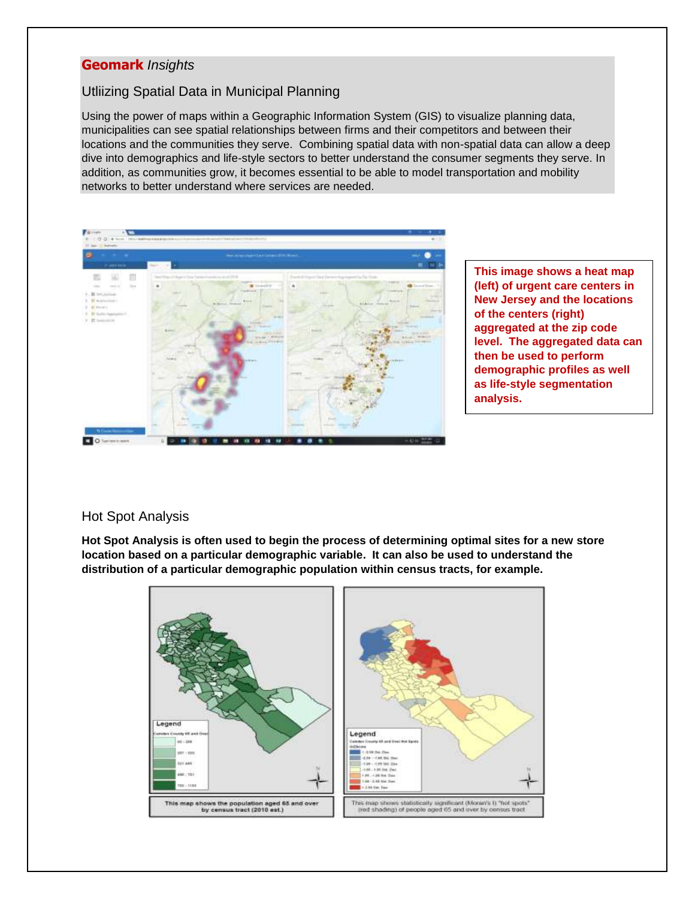## **Geomark** *Insights*

## Utliizing Spatial Data in Municipal Planning

Using the power of maps within a Geographic Information System (GIS) to visualize planning data, municipalities can see spatial relationships between firms and their competitors and between their locations and the communities they serve. Combining spatial data with non-spatial data can allow a deep dive into demographics and life-style sectors to better understand the consumer segments they serve. In addition, as communities grow, it becomes essential to be able to model transportation and mobility networks to better understand where services are needed.



**This image shows a heat map (left) of urgent care centers in New Jersey and the locations of the centers (right) aggregated at the zip code level. The aggregated data can then be used to perform demographic profiles as well as life-style segmentation analysis.**

## Hot Spot Analysis

**Hot Spot Analysis is often used to begin the process of determining optimal sites for a new store location based on a particular demographic variable. It can also be used to understand the distribution of a particular demographic population within census tracts, for example.**

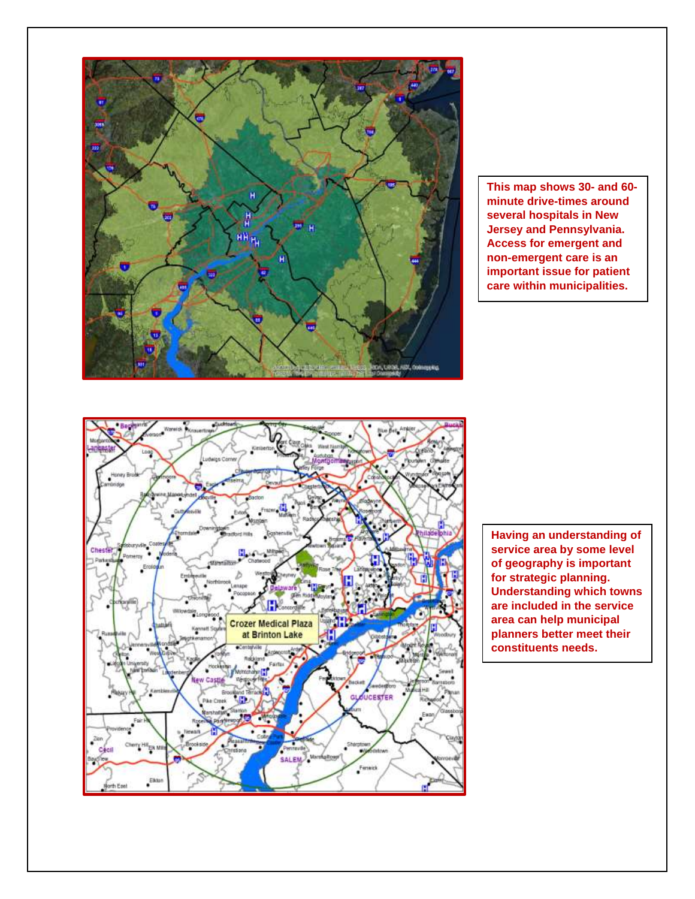

**This map shows 30- and 60 minute drive-times around several hospitals in New Jersey and Pennsylvania. Access for emergent and non-emergent care is an important issue for patient care within municipalities.**



**Having an understanding of service area by some level of geography is important for strategic planning. Understanding which towns are included in the service area can help municipal planners better meet their constituents needs.**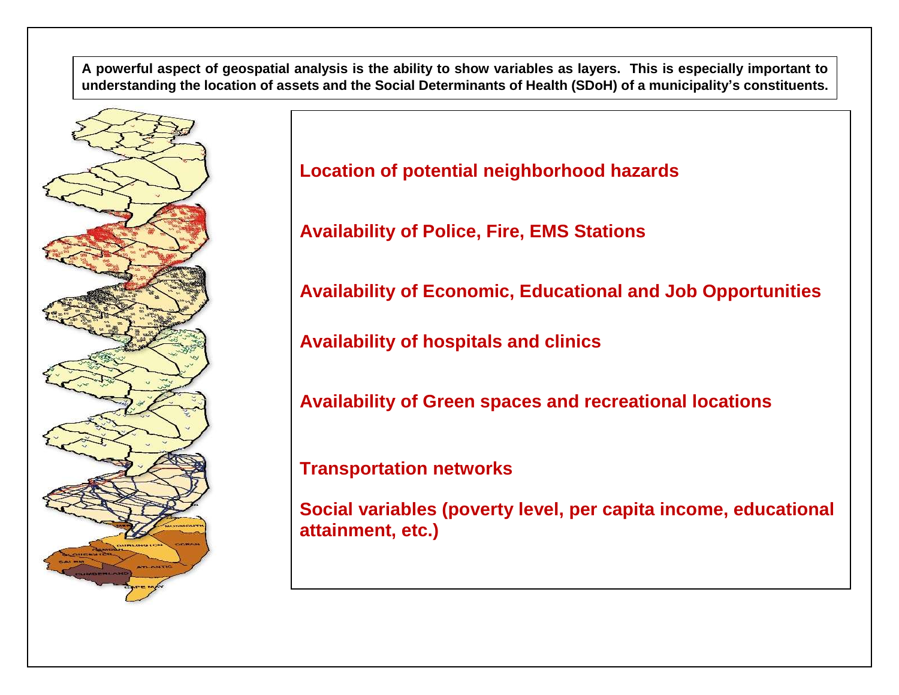**A powerful aspect of geospatial analysis is the ability to show variables as layers. This is especially important to understanding the location of assets and the Social Determinants of Health (SDoH) of a municipality's constituents.**



**Location of potential neighborhood hazards**

**Availability of Police, Fire, EMS Stations**

**Availability of Economic, Educational and Job Opportunities**

**Availability of hospitals and clinics**

**Availability of Green spaces and recreational locations**

**Transportation networks**

**Social variables (poverty level, per capita income, educational attainment, etc.)**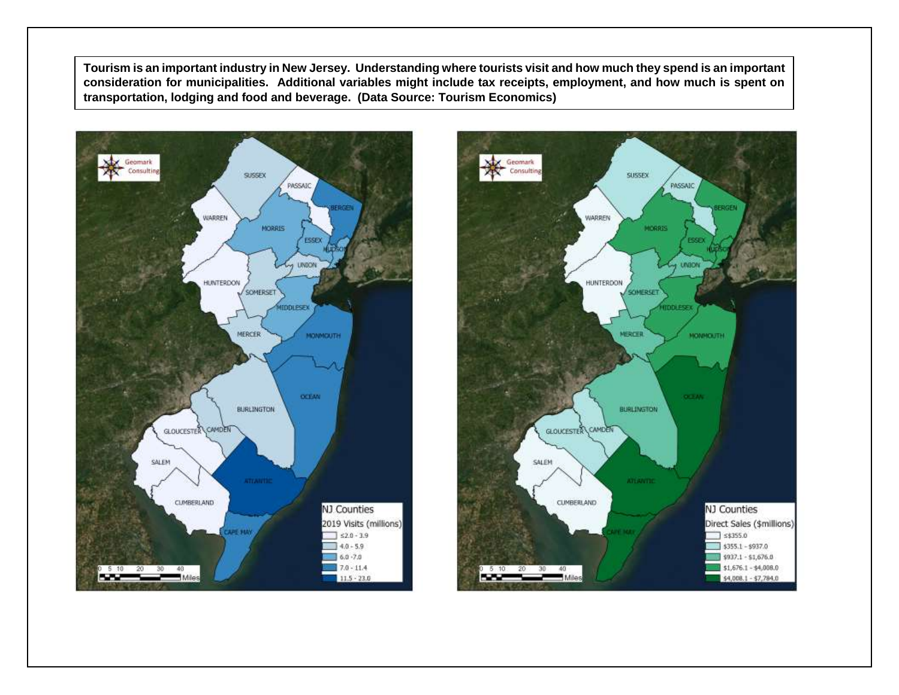**Tourism is an important industry in New Jersey. Understanding where tourists visit and how much they spend is an important consideration for municipalities. Additional variables might include tax receipts, employment, and how much is spent on transportation, lodging and food and beverage. (Data Source: Tourism Economics)**